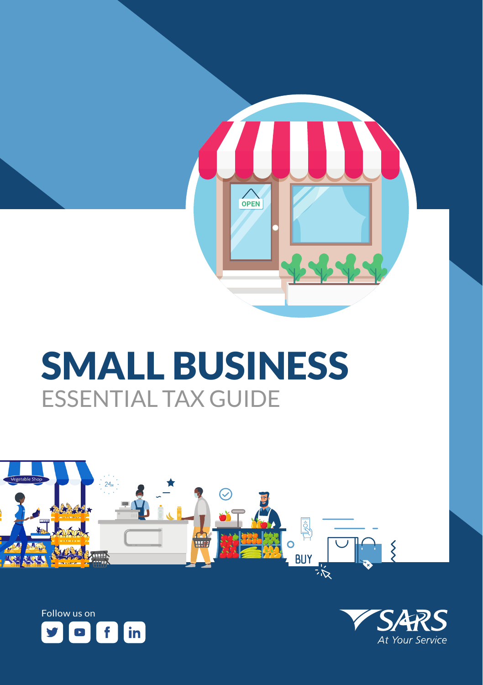

# SMALL BUSINESS ESSENTIAL TAX GUIDE





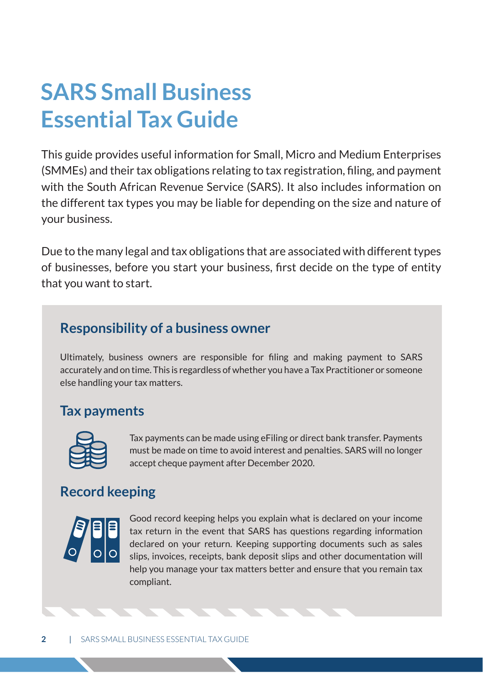## **SARS Small Business Essential Tax Guide**

This guide provides useful information for Small, Micro and Medium Enterprises (SMMEs) and their tax obligations relating to tax registration, filing, and payment with the South African Revenue Service (SARS). It also includes information on the different tax types you may be liable for depending on the size and nature of your business.

Due to the many legal and tax obligations that are associated with different types of businesses, before you start your business, first decide on the type of entity that you want to start.

### **Responsibility of a business owner**

Ultimately, business owners are responsible for filing and making payment to SARS accurately and on time. This is regardless of whether you have a Tax Practitioner or someone else handling your tax matters.

## **Tax payments**



Tax payments can be made using eFiling or direct bank transfer. Payments must be made on time to avoid interest and penalties. SARS will no longer accept cheque payment after December 2020.

## **Record keeping**



Good record keeping helps you explain what is declared on your income tax return in the event that SARS has questions regarding information declared on your return. Keeping supporting documents such as sales slips, invoices, receipts, bank deposit slips and other documentation will help you manage your tax matters better and ensure that you remain tax compliant.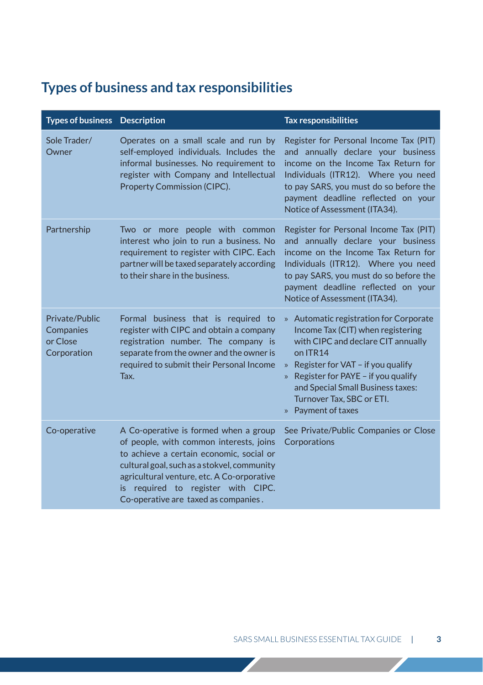## **Types of business and tax responsibilities**

| <b>Types of business</b> Description                   |                                                                                                                                                                                                                                                                                                         | <b>Tax responsibilities</b>                                                                                                                                                                                                                                                                                                        |
|--------------------------------------------------------|---------------------------------------------------------------------------------------------------------------------------------------------------------------------------------------------------------------------------------------------------------------------------------------------------------|------------------------------------------------------------------------------------------------------------------------------------------------------------------------------------------------------------------------------------------------------------------------------------------------------------------------------------|
| Sole Trader/<br>Owner                                  | Operates on a small scale and run by<br>self-employed individuals. Includes the<br>informal businesses. No requirement to<br>register with Company and Intellectual<br>Property Commission (CIPC).                                                                                                      | Register for Personal Income Tax (PIT)<br>and annually declare your business<br>income on the Income Tax Return for<br>Individuals (ITR12). Where you need<br>to pay SARS, you must do so before the<br>payment deadline reflected on your<br>Notice of Assessment (ITA34).                                                        |
| Partnership                                            | Two or more people with common<br>interest who join to run a business. No<br>requirement to register with CIPC. Each<br>partner will be taxed separately according<br>to their share in the business.                                                                                                   | Register for Personal Income Tax (PIT)<br>and annually declare your business<br>income on the Income Tax Return for<br>Individuals (ITR12). Where you need<br>to pay SARS, you must do so before the<br>payment deadline reflected on your<br>Notice of Assessment (ITA34).                                                        |
| Private/Public<br>Companies<br>or Close<br>Corporation | Formal business that is required to<br>register with CIPC and obtain a company<br>registration number. The company is<br>separate from the owner and the owner is<br>required to submit their Personal Income<br>Tax.                                                                                   | » Automatic registration for Corporate<br>Income Tax (CIT) when registering<br>with CIPC and declare CIT annually<br>on ITR14<br>Register for VAT - if you qualify<br>$\mathcal{V}$<br>Register for PAYE - if you qualify<br>$\mathcal{V}$<br>and Special Small Business taxes:<br>Turnover Tax, SBC or ETI.<br>» Payment of taxes |
| Co-operative                                           | A Co-operative is formed when a group<br>of people, with common interests, joins<br>to achieve a certain economic, social or<br>cultural goal, such as a stokvel, community<br>agricultural venture, etc. A Co-orporative<br>is required to register with CIPC.<br>Co-operative are taxed as companies. | See Private/Public Companies or Close<br>Corporations                                                                                                                                                                                                                                                                              |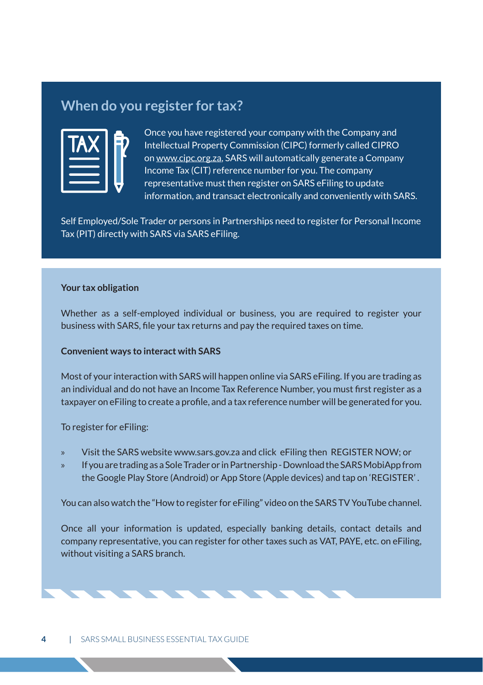#### **When do you register for tax?**

Once you have registered your company with the Company and Intellectual Property Commission (CIPC) formerly called CIPRO on www.cipc.org.za, SARS will automatically generate a Company Income Tax (CIT) reference number for you. The company representative must then register on SARS eFiling to update information, and transact electronically and conveniently with SARS.

Self Employed/Sole Trader or persons in Partnerships need to register for Personal Income Tax (PIT) directly with SARS via SARS eFiling.

#### **Your tax obligation**

Whether as a self-employed individual or business, you are required to register your business with SARS, file your tax returns and pay the required taxes on time.

#### **Convenient ways to interact with SARS**

Most of your interaction with SARS will happen online via SARS eFiling. If you are trading as an individual and do not have an Income Tax Reference Number, you must first register as a taxpayer on eFiling to create a profile, and a tax reference number will be generated for you.

To register for eFiling:

- » Visit the SARS website www.sars.gov.za and click eFiling then REGISTER NOW; or
- » If you are trading as a Sole Trader or in Partnership Download the SARS MobiApp from the Google Play Store (Android) or App Store (Apple devices) and tap on 'REGISTER' .

You can also watch the "How to register for eFiling" video on the SARS TV YouTube channel.

Once all your information is updated, especially banking details, contact details and company representative, you can register for other taxes such as VAT, PAYE, etc. on eFiling, without visiting a SARS branch.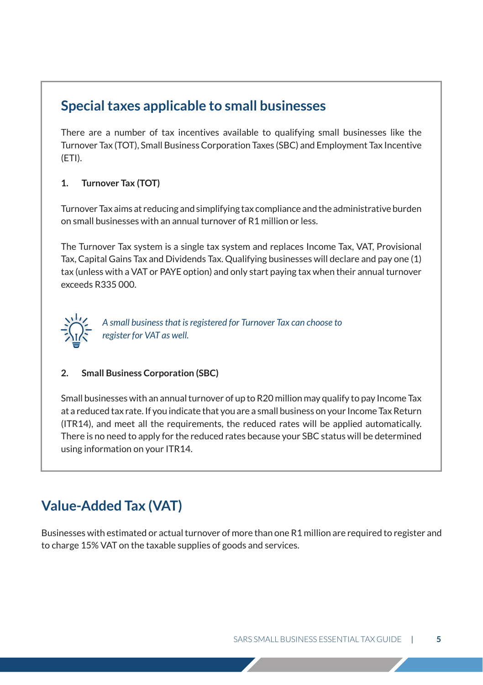#### **Special taxes applicable to small businesses**

There are a number of tax incentives available to qualifying small businesses like the Turnover Tax (TOT), Small Business Corporation Taxes (SBC) and Employment Tax Incentive (ETI).

#### **1. Turnover Tax (TOT)**

Turnover Tax aims at reducing and simplifying tax compliance and the administrative burden on small businesses with an annual turnover of R1 million or less.

The Turnover Tax system is a single tax system and replaces Income Tax, VAT, Provisional Tax, Capital Gains Tax and Dividends Tax. Qualifying businesses will declare and pay one (1) tax (unless with a VAT or PAYE option) and only start paying tax when their annual turnover exceeds R335 000.



 *A small business that is registered for Turnover Tax can choose to register for VAT as well.*

#### **2. Small Business Corporation (SBC)**

Small businesses with an annual turnover of up to R20 million may qualify to pay Income Tax at a reduced tax rate. If you indicate that you are a small business on your Income Tax Return (ITR14), and meet all the requirements, the reduced rates will be applied automatically. There is no need to apply for the reduced rates because your SBC status will be determined using information on your ITR14.

## **Value-Added Tax (VAT)**

Businesses with estimated or actual turnover of more than one R1 million are required to register and to charge 15% VAT on the taxable supplies of goods and services.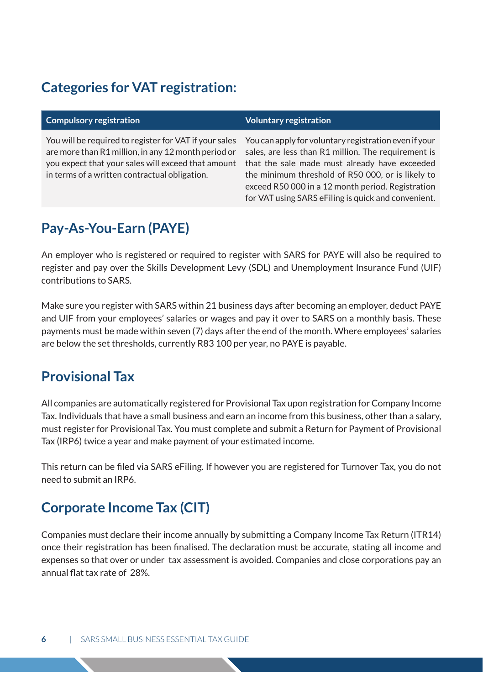#### **Categories for VAT registration:**

#### **Compulsory registration Voluntary registration**

You will be required to register for VAT if your sales are more than R1 million, in any 12 month period or you expect that your sales will exceed that amount in terms of a written contractual obligation.

You can apply for voluntary registration even if your sales, are less than R1 million. The requirement is that the sale made must already have exceeded the minimum threshold of R50 000, or is likely to exceed R50 000 in a 12 month period. Registration for VAT using SARS eFiling is quick and convenient.

## **Pay-As-You-Earn (PAYE)**

An employer who is registered or required to register with SARS for PAYE will also be required to register and pay over the Skills Development Levy (SDL) and Unemployment Insurance Fund (UIF) contributions to SARS.

Make sure you register with SARS within 21 business days after becoming an employer, deduct PAYE and UIF from your employees' salaries or wages and pay it over to SARS on a monthly basis. These payments must be made within seven (7) days after the end of the month. Where employees' salaries are below the set thresholds, currently R83 100 per year, no PAYE is payable.

## **Provisional Tax**

All companies are automatically registered for Provisional Tax upon registration for Company Income Tax. Individuals that have a small business and earn an income from this business, other than a salary, must register for Provisional Tax. You must complete and submit a Return for Payment of Provisional Tax (IRP6) twice a year and make payment of your estimated income.

This return can be filed via SARS eFiling. If however you are registered for Turnover Tax, you do not need to submit an IRP6.

## **Corporate Income Tax (CIT)**

Companies must declare their income annually by submitting a Company Income Tax Return (ITR14) once their registration has been finalised. The declaration must be accurate, stating all income and expenses so that over or under tax assessment is avoided. Companies and close corporations pay an annual flat tax rate of 28%.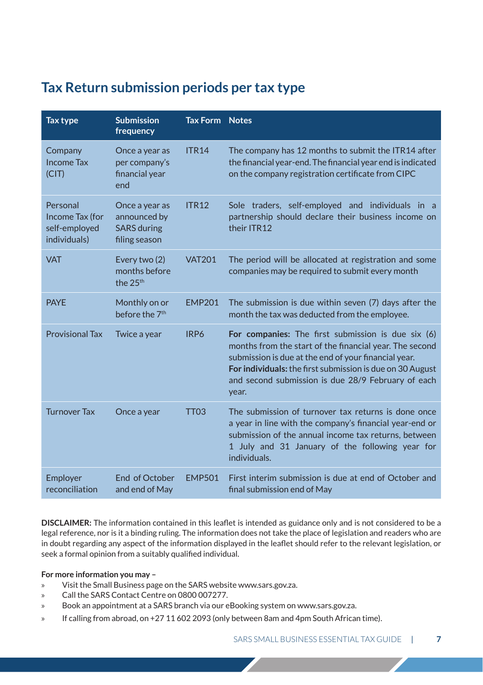#### **Tax Return submission periods per tax type**

| Tax type                                                     | <b>Submission</b><br>frequency                                        | <b>Tax Form Notes</b> |                                                                                                                                                                                                                                                                                                   |
|--------------------------------------------------------------|-----------------------------------------------------------------------|-----------------------|---------------------------------------------------------------------------------------------------------------------------------------------------------------------------------------------------------------------------------------------------------------------------------------------------|
| Company<br><b>Income Tax</b><br>(CIT)                        | Once a year as<br>per company's<br>financial year<br>end              | <b>ITR14</b>          | The company has 12 months to submit the ITR14 after<br>the financial year-end. The financial year end is indicated<br>on the company registration certificate from CIPC                                                                                                                           |
| Personal<br>Income Tax (for<br>self-employed<br>individuals) | Once a year as<br>announced by<br><b>SARS</b> during<br>filing season | <b>ITR12</b>          | Sole traders, self-employed and individuals in a<br>partnership should declare their business income on<br>their ITR12                                                                                                                                                                            |
| <b>VAT</b>                                                   | Every two (2)<br>months before<br>the 25 <sup>th</sup>                | <b>VAT201</b>         | The period will be allocated at registration and some<br>companies may be required to submit every month                                                                                                                                                                                          |
| <b>PAYE</b>                                                  | Monthly on or<br>before the 7 <sup>th</sup>                           | <b>EMP201</b>         | The submission is due within seven (7) days after the<br>month the tax was deducted from the employee.                                                                                                                                                                                            |
| <b>Provisional Tax</b>                                       | Twice a year                                                          | IRP6                  | For companies: The first submission is due six (6)<br>months from the start of the financial year. The second<br>submission is due at the end of your financial year.<br>For individuals: the first submission is due on 30 August<br>and second submission is due 28/9 February of each<br>year. |
| <b>Turnover Tax</b>                                          | Once a year                                                           | TT <sub>03</sub>      | The submission of turnover tax returns is done once<br>a year in line with the company's financial year-end or<br>submission of the annual income tax returns, between<br>1 July and 31 January of the following year for<br>individuals.                                                         |
| Employer<br>reconciliation                                   | <b>End of October</b><br>and end of May                               | <b>EMP501</b>         | First interim submission is due at end of October and<br>final submission end of May                                                                                                                                                                                                              |

**DISCLAIMER:** The information contained in this leaflet is intended as guidance only and is not considered to be a legal reference, nor is it a binding ruling. The information does not take the place of legislation and readers who are in doubt regarding any aspect of the information displayed in the leaflet should refer to the relevant legislation, or seek a formal opinion from a suitably qualified individual.

#### **For more information you may –**

- » Visit the Small Business page on the SARS website www.sars.gov.za.
- » Call the SARS Contact Centre on 0800 007277.
- » Book an appointment at a SARS branch via our eBooking system on www.sars.gov.za.
- » If calling from abroad, on +27 11 602 2093 (only between 8am and 4pm South African time).